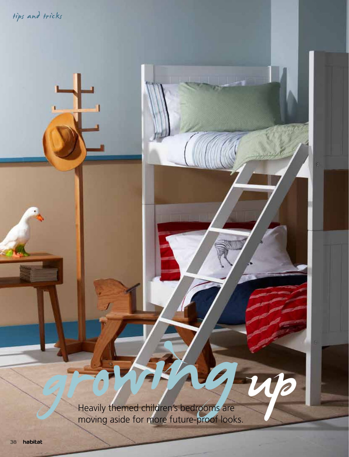tips and tricks

gr Heavily themed children's bedrooms are moving aside for more future-proof looks. owily themed children's bedrooms are ö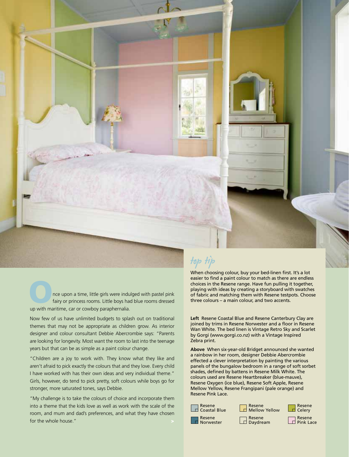nce upon a time, little girls were indulged with pastel pink fairy or princess rooms. Little boys had blue rooms dressed up with maritime, car or cowboy paraphernalia.

Now few of us have unlimited budgets to splash out on traditional themes that may not be appropriate as children grow. As interior designer and colour consultant Debbie Abercrombie says: "Parents are looking for longevity. Most want the room to last into the teenage years but that can be as simple as a paint colour change.

"Children are a joy to work with. They know what they like and aren't afraid to pick exactly the colours that and they love. Every child I have worked with has their own ideas and very individual theme." Girls, however, do tend to pick pretty, soft colours while boys go for stronger, more saturated tones, says Debbie.

"My challenge is to take the colours of choice and incorporate them into a theme that the kids love as well as work with the scale of the room, and mum and dad's preferences, and what they have chosen for the whole house."

## top tip

When choosing colour, buy your bed-linen first. It's a lot easier to find a paint colour to match as there are endless choices in the Resene range. Have fun pulling it together, playing with ideas by creating a storyboard with swatches of fabric and matching them with Resene testpots. Choose three colours – a main colour, and two accents.

**Left** Resene Coastal Blue and Resene Canterbury Clay are joined by trims in Resene Norwester and a floor in Resene Wan White. The bed linen is Vintage Retro Sky and Scarlet by Gorgi (www.gorgi.co.nz) with a Vintage Inspired Zebra print.

**Above** When six-year-old Bridget announced she wanted a rainbow in her room, designer Debbie Abercrombie effected a clever interpretation by painting the various panels of the bungalow bedroom in a range of soft sorbet shades, defined by battens in Resene Milk White. The colours used are Resene Heartbreaker (blue-mauve), Resene Oxygen (ice blue), Resene Soft Apple, Resene Mellow Yellow, Resene Frangipani (pale orange) and Resene Pink Lace.

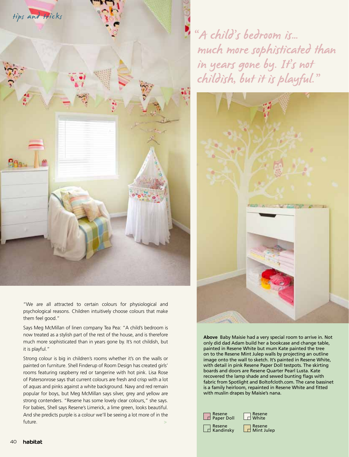

"We are all attracted to certain colours for physiological and psychological reasons. Children intuitively choose colours that make them feel good."

Says Meg McMillan of linen company Tea Pea: "A child's bedroom is now treated as a stylish part of the rest of the house, and is therefore much more sophisticated than in years gone by. It's not childish, but it is playful."

Strong colour is big in children's rooms whether it's on the walls or painted on furniture. Shell Finderup of Room Design has created girls' rooms featuring raspberry red or tangerine with hot pink. Lisa Rose of Patersonrose says that current colours are fresh and crisp with a lot of aquas and pinks against a white background. Navy and red remain popular for boys, but Meg McMillan says silver, grey and yellow are strong contenders. "Resene has some lovely clear colours," she says. For babies, Shell says Resene's Limerick, a lime green, looks beautiful. And she predicts purple is a colour we'll be seeing a lot more of in the future. A second contract of the second contract of the second contract of the second contract of the second contract of the second contract of the second contract of the second contract of the second contract of the secon

"A child's bedroom is… much more sophisticated than in years gone by. It's not childish, but it is playful."



**Above** Baby Maisie had a very special room to arrive in. Not only did dad Adam build her a bookcase and change table, painted in Resene White but mum Kate painted the tree on to the Resene Mint Julep walls by projecting an outline image onto the wall to sketch. It's painted in Resene White, with detail in pink Resene Paper Doll testpots. The skirting boards and doors are Resene Quarter Pearl Lusta. Kate recovered the lamp shade and sewed bunting flags with fabric from Spotlight and Boltofcloth.com. The cane bassinet is a family heirloom, repainted in Resene White and fitted with muslin drapes by Maisie's nana.

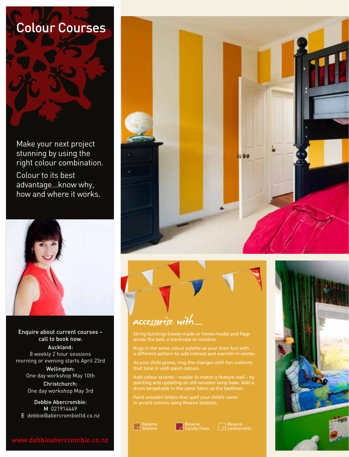



# accessorise with...…

Rugs in the same colour palette as your linen but with a different pattern to add interest and warmth in winter.

As your child grows, ring the changes with fun cushions

Add colour accents – maybe to match a feature wall – by painting and updating an old wooden lamp base. Add a drum lampshade in the same fabric as the bedlinen.

in accent colours using Resene testpots.





Resene<br>Lemoncello

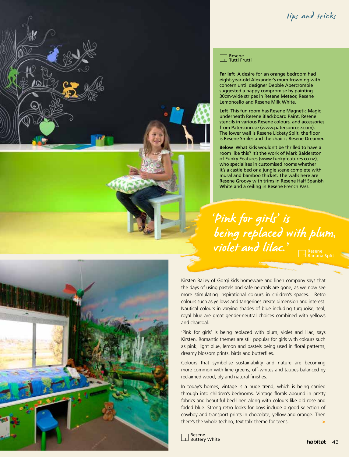### tips and tricks



#### Resene Tutti Frutti

**Far left** A desire for an orange bedroom had eight-year-old Alexander's mum frowning with concern until designer Debbie Abercrombie suggested a happy compromise by painting 30cm-wide stripes in Resene Meteor, Resene Lemoncello and Resene Milk White.

**Left** This fun room has Resene Magnetic Magic underneath Resene Blackboard Paint, Resene stencils in various Resene colours, and accessories from Patersonrose (www.patersonrose.com). The lower wall is Resene Lickety Split, the floor is Resene Smiles and the chair is Resene Dreamer.

**Below** What kids wouldn't be thrilled to have a room like this? It's the work of Mark Balderston of Funky Features (www.funkyfeatures.co.nz), who specialises in customised rooms whether it's a castle bed or a jungle scene complete with mural and bamboo thicket. The walls here are Resene Groovy with trims in Resene Half Spanish White and a ceiling in Resene French Pass.

'Pink for girls' is being replaced with plum, violet and lilac.'

Resene Banana Split



In today's homes, vintage is a huge trend, which is being carried through into children's bedrooms. Vintage florals abound in pretty fabrics and beautiful bed-linen along with colours like old rose and faded blue. Strong retro looks for boys include a good selection of cowboy and transport prints in chocolate, yellow and orange. Then there's the whole techno, text talk theme for teens.

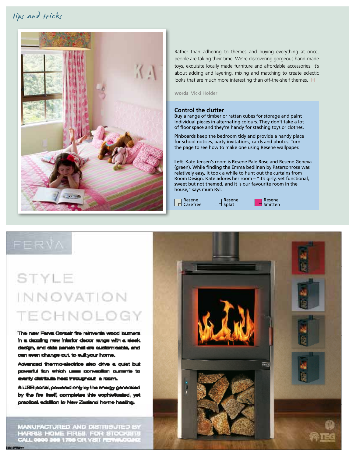### tips and tricks



Rather than adhering to themes and buying everything at once, people are taking their time. We're discovering gorgeous hand-made toys, exquisite locally made furniture and affordable accessories. It's about adding and layering, mixing and matching to create eclectic looks that are much more interesting than off-the-shelf themes. H

**words** Vicki Holder

#### **Control the clutter**

Buy a range of timber or rattan cubes for storage and paint individual pieces in alternating colours. They don't take a lot of floor space and they're handy for stashing toys or clothes.

Pinboards keep the bedroom tidy and provide a handy place for school notices, party invitations, cards and photos. Turn the page to see how to make one using Resene wallpaper.

**Left** Kate Jensen's room is Resene Pale Rose and Resene Geneva (green). While finding the Emma bedlinen by Patersonrose was relatively easy, it took a while to hunt out the curtains from Room Design. Kate adores her room – "it's girly, yet functional, sweet but not themed, and it is our favourite room in the house," says mum Ryl.

Resene

Resene  $\Box$  Reserve **Splat**